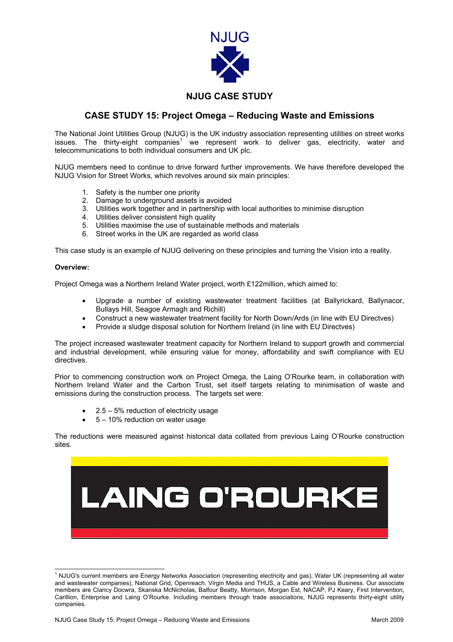

## **NJUG CASE STUDY**

## **CASE STUDY 15: Project Omega – Reducing Waste and Emissions**

The National Joint Utilities Group (NJUG) is the UK industry association representing utilities on street works issues. The thirty-eight companies<sup>[1](#page-0-0)</sup> we represent work to deliver gas, electricity, water and telecommunications to both individual consumers and UK plc.

NJUG members need to continue to drive forward further improvements. We have therefore developed the NJUG Vision for Street Works, which revolves around six main principles:

- 1. Safety is the number one priority
- 2. Damage to underground assets is avoided
- 3. Utilities work together and in partnership with local authorities to minimise disruption
- 4. Utilities deliver consistent high quality
- 5. Utilities maximise the use of sustainable methods and materials
- 6. Street works in the UK are regarded as world class

This case study is an example of NJUG delivering on these principles and turning the Vision into a reality.

## **Overview:**

Project Omega was a Northern Ireland Water project, worth £122million, which aimed to:

- Upgrade a number of existing wastewater treatment facilities (at Ballyrickard, Ballynacor, Bullays Hill, Seagoe Armagh and Richill)
- Construct a new wastewater treatment facility for North Down/Ards (in line with EU Directves)
- Provide a sludge disposal solution for Northern Ireland (in line with EU Directves)

The project increased wastewater treatment capacity for Northern Ireland to support growth and commercial and industrial development, while ensuring value for money, affordability and swift compliance with EU directives.

Prior to commencing construction work on Project Omega, the Laing O'Rourke team, in collaboration with Northern Ireland Water and the Carbon Trust, set itself targets relating to minimisation of waste and emissions during the construction process. The targets set were:

- $2.5 5%$  reduction of electricity usage
- 5 10% reduction on water usage

The reductions were measured against historical data collated from previous Laing O'Rourke construction sites.

<span id="page-0-0"></span>

 $\frac{1}{1}$ <sup>1</sup> NJUG's current members are Energy Networks Association (representing electricity and gas), Water UK (representing all water and wastewater companies), National Grid, Openreach, Virgin Media and THUS, a Cable and Wireless Business. Our associate members are Clancy Docwra, Skanska McNicholas, Balfour Beatty, Morrison, Morgan Est, NACAP, PJ Keary, First Intervention, Carillion, Enterprise and Laing O'Rourke. Including members through trade associations, NJUG represents thirty-eight utility companies.